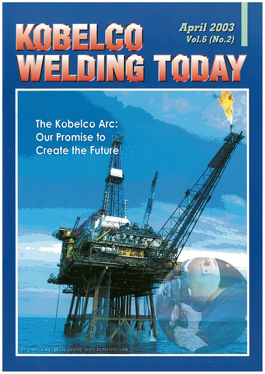# *April 2003* KOBELGO **Vol.6 (No.2)** ELDING TODAY

**The Kobelco Arc:** Our Promise to let **Create the Future** 

Original jacket photo source: www.btinternet.com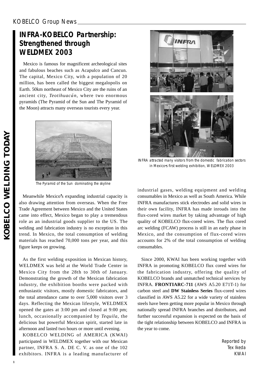## KOBELCO Group News

# **INFRA-KOBELCO Partnership: Strengthened through WELDMEX 2003**

Mexico is famous for magnificent archeological sites and fabulous beaches such as Acapulco and Cancun. The capital, Mexico City, with a population of 20 million, has been called the biggest megalopolis on Earth. 50km northeast of Mexico City are the ruins of an ancient city, *Teotihuacán*, where two enormous pyramids (The Pyramid of the Sun and The Pyramid of the Moon) attracts many overseas tourists every year.



The Pyramid of the Sun dominating the skyline

Meanwhile Mexico**'**s expanding industrial capacity is also drawing attention from overseas. When the Free Trade Agreement between Mexico and the United States came into effect, Mexico began to play a tremendous role as an industrial goods supplier to the US. The welding and fabrication industry is no exception in this trend. In Mexico, the total consumption of welding materials has reached 70,000 tons per year, and this figure keeps on growing.

As the first welding exposition in Mexican history, WELDMEX was held at the World Trade Center in Mexico City from the 28th to 30th of January. Demonstrating the growth of the Mexican fabrication industry, the exhibition booths were packed with enthusiastic visitors, mostly domestic fabricators, and the total attendance came to over 5,000 visitors over 3 days. Reflecting the Mexican lifestyle, WELDMEX opened the gates at 3:00 pm and closed at 9:00 pm; lunch, occasionally accompanied by *Tequila*, the delicious but powerful Mexican spirit, started late in afternoon and lasted two hours or more until evening.

KOBELCO WELDING of AMERICA (KWAI) participated in WELDMEX together with our Mexican partner, INFRA S. A. DE C. V. as one of the 102 exhibitors. INFRA is a leading manufacturer of



INFRA attracted many visitors from the domestic fabrication sectors in Mexico**'**s first welding exhibition, WELDMEX 2003

industrial gases, welding equipment and welding consumables in Mexico as well as South America. While INFRA manufactures stick electrodes and solid wires in their own facility, INFRA has made inroads into the flux-cored wires market by taking advantage of high quality of KOBELCO flux-cored wires. The flux cored arc welding (FCAW) process is still in an early phase in Mexico, and the consumption of flux-cored wires accounts for 2% of the total consumption of welding consumables.

Since 2000, KWAI has been working together with INFRA in promoting KOBELCO flux cored wires for the fabrication industry, offering the quality of KOBELCO brands and unmatched technical services by INFRA. **FRONTIARC-711** (AWS A5.20 E71T-1) for carbon steel and **DW Stainless Series** flux-cored wires classified in AWS A5.22 for a wide variety of stainless steels have been getting more popular in Mexico through nationally spread INFRA branches and distributors, and further successful expansion is expected on the basis of the tight relationship between KOBELCO and INFRA in the year to come.

> Reported by Tex Ikeda KWAI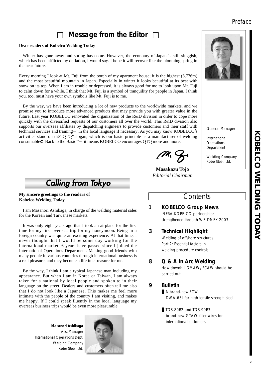## Preface

# **Message from the Editor**

#### **Dear readers of Kobelco Welding Today**

Winter has gone away and spring has come. However, the economy of Japan is still sluggish, which has been afflicted by deflation, I would say. I hope it will recover like the blooming spring in the near future.

Every morning I look at Mt. Fuji from the porch of my apartment house; it is the highest (3,776m) and the most beautiful mountain in Japan. Especially in winter it looks beautiful at its best with snow on its top. When I am in trouble or depressed, it is always good for me to look upon Mt. Fuji to calm down for a while. I think that Mt. Fuji is a symbol of tranquility for people in Japan. I think you, too, must have your own symbols like Mt. Fuji is to me.

By the way, we have been introducing a lot of new products to the worldwide markets, and we promise you to introduce more advanced products that may provide you with greater value in the future. Last year KOBELCO renovated the organization of the R&D division in order to cope more quickly with the diversified requests of our customers all over the world. This R&D division also supports our overseas affiliates by dispatching engineers to provide customers and their staff with technical services and training in the local language if necessary. As you may know KOBELCO**'**s activities stand on the**"**QTQ**"**slogan, which is our basic principle as a manufacturer of welding consumables<sup>\*</sup>. Back to the Basic<sup>"</sup> it means KOBELCO encourages QTQ more and more.

**Calling from Tokyo** 

**My sincere greetings to the readers of Kobelco Welding Today**

I am Masanori Ashikaga, in charge of the welding material sales for the Korean and Taiwanese markets.

It was only eight years ago that I took an airplane for the first time for my first overseas trip for my honeymoon. Being in a foreign country was quite an exciting experience. At that time, I never thought that I would be some day working for the international market. 6 years have passed since I joined the International Operations Department. Making good friends with many people in various countries through international business is a real pleasure, and they become a lifetime treasure for me.

By the way, I think I am a typical Japanese man including my appearance. But when I am in Korea or Taiwan, I am always taken for a national by local people and spoken to in their language on the street. Dealers and customers often tell me also that I do not look like a Japanese. This makes me feel more intimate with the people of the country I am visiting, and makes me happy. If I could speak fluently in the local language my overseas business trips would be even more pleasurable.

**Masanori Ashikaga** Asst Manager International Operations Dept. Welding Company Kobe Steel, Ltd.



**Masakazu Tojo** *Editorial Chairman*

## **Contents**

#### **1 KOBELCO Group News** INFRA-KOBELCO partnership: strengthened through WELDMEX 2003

#### **3 Technical Highlight**

Welding of offshore structures Part 2: Essential factors in welding procedure controls

#### **8 Q & A in Arc Welding**

How downhill GMAW/FCAW should be carried out

#### **9 Bulletin**

A brand-new FCW: DWA-65L for high tensile strength steel

TGS-80B2 and TGS-90B3: brand-new GTAW filler wires for international customers

**KOBELCO WELDING TODAY KOBELCO NELDING HODAY** 



General Manager

International **Operations** Department

Welding Company Kobe Steel, Ltd.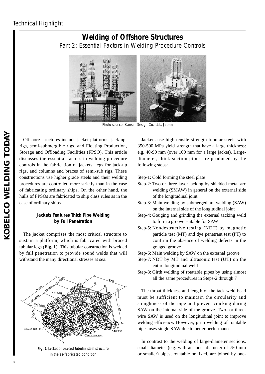# **Welding of Offshore Structures** Part 2: Essential Factors in Welding Procedure Controls



Photo source: Kansai Design Co. Ltd., Japan

Offshore structures include jacket platforms, jack-uprigs, semi-submergible rigs, and Floating Production, Storage and Offloading Facilities (FPSO). This article discusses the essential factors in welding procedure controls in the fabrication of jackets, legs for jack-up rigs, and columns and braces of semi-sub rigs. These constructions use higher grade steels and their welding procedures are controlled more strictly than in the case of fabricating ordinary ships. On the other hand, the hulls of FPSOs are fabricated to ship class rules as in the case of ordinary ships.

#### **Jackets Features Thick Pipe Welding by Full Penetration**

The jacket comprises the most critical structure to sustain a platform, which is fabricated with braced tubular legs (**Fig. 1**). This tubular construction is welded by full penetration to provide sound welds that will withstand the many directional stresses at sea.



**Fig. 1** Jacket of braced tubular steel structure in the as-fabricated condition

Jackets use high tensile strength tubular steels with 350-500 MPa yield strength that have a large thickness: e.g. 40-90 mm (over 100 mm for a large jacket). Largediameter, thick-section pipes are produced by the following steps:

Step-1: Cold forming the steel plate

- Step-2: Two or three layer tacking by shielded metal arc welding (SMAW) in general on the external side of the longitudinal joint
- Step-3: Main welding by submerged arc welding (SAW) on the internal side of the longitudinal joint
- Step-4: Gouging and grinding the external tacking weld to form a groove suitable for SAW
- Step-5: Nondestructive testing (NDT) by magnetic particle test (MT) and dye penetrant test (PT) to confirm the absence of welding defects in the gouged groove
- Step-6: Main welding by SAW on the external groove
- Step-7: NDT by MT and ultrasonic test (UT) on the entire longitudinal weld
- Step-8: Girth welding of rotatable pipes by using almost all the same procedures in Steps-2 through 7

The throat thickness and length of the tack weld bead must be sufficient to maintain the circularity and straightness of the pipe and prevent cracking during SAW on the internal side of the groove. Two- or threewire SAW is used on the longitudinal joint to improve welding efficiency. However, girth welding of rotatable pipes uses single SAW due to better performance.

In contrast to the welding of large-diameter sections, small diameter (e.g. with an inner diameter of 750 mm or smaller) pipes, rotatable or fixed, are joined by one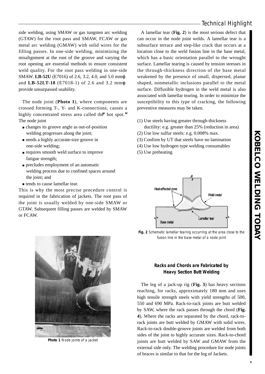side welding, using SMAW or gas tungsten arc welding (GTAW) for the root pass and SMAW, FCAW or gas metal arc welding (GMAW) with solid wires for the filling passes. In one-side welding, minimizing the misalignment at the root of the groove and varying the root opening are essential methods to ensure consistent weld quality. For the root pass welding in one-side SMAW. **LB-52U** (E7016) of 2.6, 3.2, 4.0, and 5.0 mm and **LB-52LT-18** (E7018-1) of 2.6 and 3.2 mm provide unsurpassed usability.

The node joint (**Photo 1**), where components are crossed forming T-, Y- and K-connections, causes a highly concentrated stress area called the**"**hot spot.**"** The node joint

changes its groove angle as out-of-position

- welding progresses along the joint;
- needs a highly accurate-size groove in
- one-side welding;
- requires smooth weld surface to improve fatigue strength;
- precludes employment of an automatic
- welding process due to confined spaces around the joint; and
- tends to cause lamellar tear.

This is why the most precise procedure control is required in the fabrication of jackets. The root pass of the joint is usually welded by one-side SMAW or GTAW. Subsequent filling passes are welded by SMAW or FCAW.

A lamellar tear (**Fig. 2**) is the most serious defect that can occur in the node joint welds. A lamellar tear is a subsurface terrace and step-like crack that occurs at a location close to the weld fusion line in the base metal, which has a basic orientation parallel to the wrought surface. Lamellar tearing is caused by tension stresses in the through-thickness direction of the base metal weakened by the presence of small, dispersed, planar shaped, nonmetallic inclusions parallel to the metal surface. Diffusible hydrogen in the weld metal is also associated with lamellar tearing. In order to minimize the susceptibility to this type of cracking, the following preventive measures may be taken.

- (1) Use steels having greater through-thickness ductility: e.g. greater than 25% (reduction in area)
- (2) Use low sulfur steels: e.g. 0.008% max.
- (3) Confirm by UT that steels have no lamination
- (4) Use low hydrogen type welding consumables
- (5) Use preheating



**Fig. 2** Schematic lamellar tearing occurring at the area close to the fusion line in the base metal of a node joint



The leg of a jack-up rig (**Fig. 3**) has heavy sections reaching, for racks, approximately 180 mm and uses high tensile strength steels with yield strengths of 500, 550 and 690 MPa. Rack-to-rack joints are butt welded by SAW, where the rack passes through the chord (**Fig. 4**). Where the racks are separated by the chord, rack-torack joints are butt welded by GMAW with solid wires. Rack-to-rack double-groove joints are welded from both sides of the joint to highly accurate sizes. Rack-to-chord joints are butt welded by SAW and GMAW from the external side only. The welding procedure for node joints of braces is similar to that for the leg of Jackets.



**Photo 1** Node joints of a jacket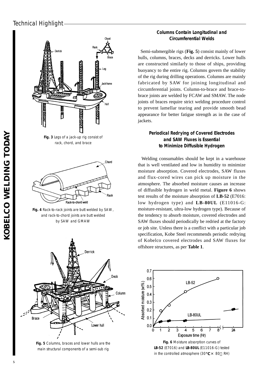## Technical Highlight



**Fig. 3** Legs of a jack-up rig consist of rack, chord, and brace



**Fig. 4** Rack-to-rack joints are butt welded by SAW, and rack-to-chord joints are butt welded by SAW and GMAW



**Fig. 5** Columns, braces and lower hulls are the main structural components of a semi-sub rig

### **Columns Contain Longitudinal and Circumferential Welds**

Semi-submergible rigs (**Fig. 5**) consist mainly of lower hulls, columns, braces, decks and derricks. Lower hulls are constructed similarly to those of ships, providing buoyancy to the entire rig. Columns govern the stability of the rig during drilling operations. Columns are mainly fabricated by SAW for joining longitudinal and circumferential joints. Column-to-brace and brace-tobrace joints are welded by FCAW and SMAW. The node joints of braces require strict welding procedure control to prevent lamellar tearing and provide smooth bead appearance for better fatigue strength as in the case of jackets.

#### **Periodical Redrying of Covered Electrodes and SAW Fluxes is Essential to Minimize Diffusible Hydrogen**

Welding consumables should be kept in a warehouse that is well ventilated and low in humidity to minimize moisture absorption. Covered electrodes, SAW fluxes and flux-cored wires can pick up moisture in the atmosphere. The absorbed moisture causes an increase of diffusible hydrogen in weld metal. **Figure 6** shows test results of the moisture absorption of **LB-52** (E7016: low hydrogen type) and **LB-80UL** (E11016-G: moisture-resistant, ultra-low hydrogen type). Because of the tendency to absorb moisture, covered electrodes and SAW fluxes should periodically be redried at the factory or job site. Unless there is a conflict with a particular job specification, Kobe Steel recommends periodic redrying of Kobelco covered electrodes and SAW fluxes for offshore structures, as per **Table 1**.

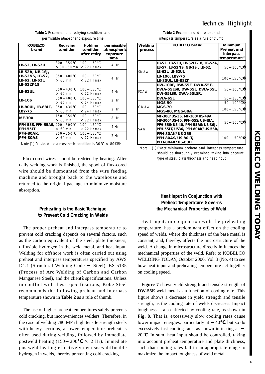## Technical Highlight

| <b>KOBELCO</b><br>brand                                            | Redrying<br>condition               | Holding<br>condition<br>after redry | permissible<br>atmospheric<br>exposure<br>$time^{(1)}$ |
|--------------------------------------------------------------------|-------------------------------------|-------------------------------------|--------------------------------------------------------|
| LB-52, LB-52U                                                      | 300<br>350<br>60 min<br>$\times$ 30 | 100<br>150<br>$\times$ 72 Hr max    | 4 Hr                                                   |
| LB-52A, NB-1SJ,<br>LB-52NS, LB-57,<br>LB-62, LB-62L,<br>LB-52LT-18 | 350<br>400<br>$\times$ 60 min       | 100<br>150<br>$\times$ 72 Hr max    | 4 Hr                                                   |
| <b>LB-62UL</b>                                                     | 350<br>430<br>$\times$ 60 min       | 100<br>150<br>$\times$ 72 Hr max    | 4 Hr                                                   |
| LB-106                                                             | 400<br>350<br>$\times$ 60 min       | 100 150<br>$\times$ 24 Hr max       | 2 <sub>hr</sub>                                        |
| LB-80UL, LB-88LT,<br><b>LBY-75</b>                                 | 430<br>350<br>$\times$ 60 min       | 100.<br>150<br>$\times$ 24 Hr max   | 2 <sub>hr</sub>                                        |
| <b>MF-300</b>                                                      | 150<br>350<br>$\times$ 60 min       | 100 150<br>$\times$ 72 Hr max       | 8 Hr                                                   |
| <b>PFH-55S, PFH-55AS, 200</b><br>PFH-55LT                          | 300<br>60 min<br>$\times$           | 150<br>100<br>$\times$ 72 Hr max    | 4 Hr                                                   |
| PFH-80AK.<br><b>PFH-80AS</b>                                       | 350<br>250 -<br>$\times$ 60 min     | 100<br>150<br>$\times$ 72 Hr max    | 2 <sub>hr</sub>                                        |
| .                                                                  |                                     |                                     |                                                        |

**Table 1** Recommended redrying conditions and permissible atmospheric exposure time

Note (1) Provided the atmospheric condition is 30℃ × 80%RH

Flux-cored wires cannot be redried by heating. After daily welding work is finished, the spool of flux-cored wire should be dismounted from the wire feeding machine and brought back to the warehouse and returned to the original package to minimize moisture absorption.

#### **Preheating is the Basic Technique to Prevent Cold Cracking in Welds**

The proper preheat and interpass temperature to prevent cold cracking depends on several factors, such as the carbon equivalent of the steel, plate thickness, diffusible hydrogen in the weld metal, and heat input. Welding for offshore work is often carried out using preheat and interpass temperatures specified by AWS D1.1 (Structural Welding Code Steel), BS 5135 (Process of Arc Welding of Carbon and Carbon Manganese Steel), and the client**'**s specifications. Unless in conflict with these specifications, Kobe Steel recommends the following preheat and interpass temperature shown in **Table 2** as a rule of thumb.

The use of higher preheat temperatures safely prevents cold cracking, but inconveniences welders. Therefore, in the case of welding 780 MPa high tensile strength steels with heavy sections, a lower temperature preheat is often used during welding, followed by immediate postweld heating  $(150 \t 200 \times 2 \text{ Hr})$ . Immediate postweld heating effectively decreases diffusible hydrogen in welds, thereby preventing cold cracking.

| Table 2 Recommended preheat and          |
|------------------------------------------|
| interpass temperature as a rule of thumb |

| Welding<br>process | <b>KOBELCO brand</b>                                                                                                                | <b>Minimum</b><br>Preheat and<br>interpass<br>temperature <sup>(1)</sup> |
|--------------------|-------------------------------------------------------------------------------------------------------------------------------------|--------------------------------------------------------------------------|
| SMAW               | LB-52, LB-52U, LB-52LT-18, LB-52A,<br>LB-57, LB-52NS, NB-1SJ, LB-62,<br>LB-62L, LB-62UL                                             | 100<br>50.                                                               |
|                    | LB-106, LBY-75<br>LB-80UL, LB-88LT                                                                                                  | 100 150                                                                  |
| <b>FCAW</b>        | DW-100E, DW-55E, DWA-55E,<br>DWA-55ESR, DW-55L, DWA-55L,<br>DW-55LSR, DWA-55LSR,                                                    | 50<br>100                                                                |
|                    | DWA-65L                                                                                                                             | 150<br>50                                                                |
|                    | MGS-50                                                                                                                              | 50<br>100                                                                |
| <b>GMAW</b>        | MGS-70<br>MGS-80, MGS-88A                                                                                                           | 100 150                                                                  |
| SAW                | MF-300/US-36, MF-300/US-49A,<br>MF-300/US-40, PFH-55S/US-49A,<br>PFH-55S/US-40, PFH-55AS/US-36J,<br>PFH-55LT/US36, PFH-80AK/US-56B, | 50<br>100                                                                |
|                    | PFH-80AK/US-255,<br>PFH-80AS/US-80LT,<br><b>PFH-80AK/US-80LT</b>                                                                    | 100.<br>- 150                                                            |

Note (1) Exact minimum preheat and interpass temperature should be thoroughly examined taking into account type of steel, plate thickness and heat input.

#### **Heat Input in Conjunction with Preheat Temperature Governs the Mechanical Properties of Weld**

Heat input, in conjunction with the preheating temperature, has a predominant effect on the cooling speed of welds, where the thickness of the base metal is constant, and, thereby, affects the microstructure of the weld. A change in microstructure directly influences the mechanical properties of the weld. Refer to KOBELCO WELDING TODAY, October 2000, Vol. 3 (No. 4) to see how heat input and preheating temperature act together on cooling speed.

**Figure 7** shows yield strength and tensile strength of **DW-55E** weld metal as a function of cooling rate. This figure shows a decrease in yield strength and tensile strength, as the cooling rate of welds decreases. Impact toughness is also affected by cooling rate, as shown in **Fig. 8**. That is, excessively slow cooling rates cause lower impact energies, particularly at 40, but so do excessively fast cooling rates as shown in testing at 20 . In sum, heat input should be controlled, taking into account preheat temperature and plate thickness, such that cooling rates fall in an appropriate range to maximize the impact toughness of weld metal.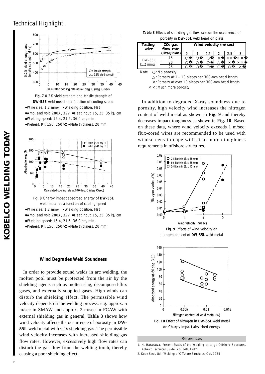## Technical Highlight



**Fig. 7** 0.2% yield strength and tensile strength of **DW-55E** weld metal as a function of cooling speed Wire size: 1.2 mm Welding position: Flat Amp. and volt: 280A, 32V Heat input: 15, 25, 35 kJ/cm Welding speed: 15.4, 21.5, 36.0 cm/min Preheat: RT, 150, 250 Plate thickness: 20 mm



**Fig. 8** Charpy impact absorbed energy of **DW-55E** weld metal as a function of cooling speed Wire size: 1.2 mm Welding position: Flat Amp. and volt: 280A, 32V Heat input: 15, 25, 35 kJ/cm Welding speed: 15.4, 21.5, 36.0 cm/min Preheat: RT, 150, 250 Plate thickness: 20 mm

#### **Wind Degrades Weld Soundness**

In order to provide sound welds in arc welding, the molten pool must be protected from the air by the shielding agents such as molten slag, decomposed-flux gases, and externally supplied gases. High winds can disturb the shielding effect. The permissible wind velocity depends on the welding process: e.g. approx. 5 m/sec in SMAW and approx. 2 m/sec in FCAW with external shielding gas in general. **Table 3** shows how wind velocity affects the occurrence of porosity in **DW-55L** weld metal with  $CO<sub>2</sub>$  shielding gas. The permissible wind velocity increases with increased shielding gas flow rates. However, excessively high flow rates can disturb the gas flow from the welding torch, thereby causing a poor shielding effect.

| Table 3 Effects of shielding gas flow rate on the occurrence of |
|-----------------------------------------------------------------|
| porosity in DW-55L weld bead on plate                           |

| <b>Testing</b><br>wire             | $CO2$ gas<br>flow rate | Wind velocity (m/sec) |  |     |          |          |                   |
|------------------------------------|------------------------|-----------------------|--|-----|----------|----------|-------------------|
|                                    | (liter/min)            |                       |  | 1.5 |          | 2.5      | 3                 |
| DW-55L<br>$(1.2 \, \text{mm})$     | 15                     |                       |  |     | $\times$ | X X      | $\times$ $\times$ |
|                                    | 20                     |                       |  |     |          | $\times$ | $\times$ $\times$ |
|                                    | 25                     |                       |  |     |          |          | ×                 |
| N <sub>loto</sub><br>. No porocity |                        |                       |  |     |          |          |                   |

Note : No porosity

: Porosity at 1 10 pieces per 300-mm bead length

×: Porosity at over 10 pieces per 300-mm bead length

 $\times$   $\times$  : Much more porosity

In addition to degraded X-ray soundness due to porosity, high velocity wind increases the nitrogen content of weld metal as shown in **Fig. 9** and thereby decreases impact toughness as shown in **Fig. 10**. Based on these data, where wind velocity exceeds 1 m/sec, flux-cored wires are recommended to be used with windscreens to cope with strict notch toughness requirements in offshore structures.



#### **References**

2. Kobe Steel, Ltd., Welding of Offshore Structures, Oct. 1985

<sup>1.</sup> H. Harasawa, Present Status of the Welding of Large Offshore Structures, Kobelco Technical Guide, No. 148, 1982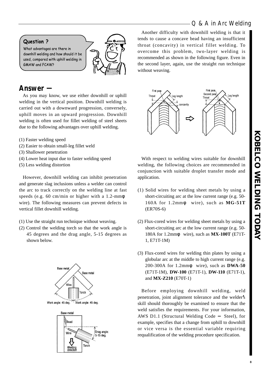## Q & A in Arc Welding

## Question ?

What advantages are there in downhill welding and how should it be used, compared with uphill welding in **GMAW and FCAW?** 



# **Answer** -

As you may know, we use either downhill or uphill welding in the vertical position. Downhill welding is carried out with a downward progression, conversely, uphill moves in an upward progression. Downhill welding is often used for fillet welding of steel sheets due to the following advantages over uphill welding.

- (1) Faster welding speed
- (2) Easier to obtain small-leg fillet weld
- (3) Shallower penetration
- (4) Lower heat input due to faster welding speed
- (5) Less welding distortion

However, downhill welding can inhibit penetration and generate slag inclusions unless a welder can control the arc to track correctly on the welding line at fast speeds (e.g. 60 cm/min or higher with a 1.2-mm wire). The following measures can prevent defects in vertical fillet downhill welding.

- (1) Use the straight run technique without weaving.
- (2) Control the welding torch so that the work angle is 45 degrees and the drag angle, 5-15 degrees as shown below.



Work angle: 45 deg. Work angle: 45 deg.



Another difficulty with downhill welding is that it tends to cause a concave bead having an insufficient throat (concavity) in vertical fillet welding. To overcome this problem, two-layer welding is recommended as shown in the following figure. Even in the second layer, again, use the straight run technique without weaving.



With respect to welding wires suitable for downhill welding, the following choices are recommended in conjunction with suitable droplet transfer mode and application.

- (1) Solid wires for welding sheet metals by using a short-circuiting arc at the low current range (e.g. 50- 160A for 1.2mm wire), such as **MG-51T** (ER70S-6)
- (2) Flux-cored wires for welding sheet metals by using a short-circuiting arc at the low current range (e.g. 50- 180A for 1.2mm wire), such as **MX-100T** (E71T-1, E71T-1M)
- (3) Flux-cored wires for welding thin plates by using a globular arc at the middle to high current range (e.g. 200-300A for 1.2mm wire), such as **DWA-50** (E71T-1M), **DW-100** (E71T-1), **DW-110** (E71T-1), and **MX-Z210** (E70T-1)

Before employing downhill welding, weld penetration, joint alignment tolerance and the welder**'**s skill should thoroughly be examined to ensure that the weld satisfies the requirements. For your information, AWS D1.1 (Structural Welding Code Steel), for example, specifies that a change from uphill to downhill or vice versa is the essential variable requiring requalification of the welding procedure specification.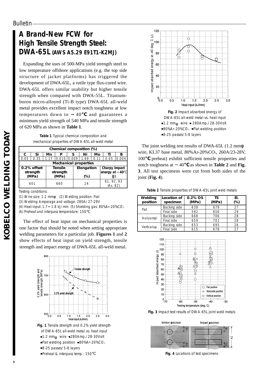# **A Brand-New FCW for High Tensile Strength Steel: DWA-65L (AWS A5.29 E91T1-K2MJ)**

Expanding the uses of 500-MPa yield strength steel to low temperature offshore applications (e.g. the top side structure of jacket platforms) has triggered the development of DWA-65L, a rutile type flux-cored wire. DWA-65L offers similar usability but higher tensile strength when compared with DWA-55L. Titaniumboron micro-alloyed (Ti-B type) DWA-65L all-weld metal provides excellent impact notch toughness at low temperatures down to 40 and guarantees a minimum yield strength of 540 MPa and tensile strength of 620 MPa as shown in **Table 1**.

| Table 1 Typical chemical composition and        |
|-------------------------------------------------|
| mechanical properties of DWA-65L all-weld metal |

| Chemical composition (%)      |      |      |            |       |  |               |      |          |       |
|-------------------------------|------|------|------------|-------|--|---------------|------|----------|-------|
| c                             | Si   | Mn   | P          | s     |  | Νi            | Mo   | Τi       | в     |
| 0.05                          | 0.35 | 1.17 | 0.010      | 0.009 |  | 1.69          | 0.11 | 0.05     | 0.004 |
| <b>Mechanical properties</b>  |      |      |            |       |  |               |      |          |       |
| <b>Tensile</b><br>0.2% offset |      |      | Elongation |       |  | Charpy impact |      |          |       |
| strength<br>strength          |      |      |            |       |  | energy at     | 40   |          |       |
| (MPa)<br>(MPa)<br>(%)         |      |      |            | (J)   |  |               |      |          |       |
|                               |      |      |            |       |  | 61, 92, 93    |      |          |       |
|                               |      |      |            |       |  |               |      | (Av. 82) |       |
|                               | 601  |      | 660        |       |  | 24            |      |          |       |

Testing conditions:

(1) Wire size: 1.2 mm (2) Welding position: Flat

(3) Welding Amperage and voltage: 280A/27-29V

(4) Heat input: 1.7 1.8 kJ/mm (5) Shielding gas: 80%Ar-20%CO2

(6) Preheat and interpass temperature: 150

The effect of heat input on mechanical properties is one factor that should be noted when setting appropriate welding parameters for a particular job. **Figures 1** and **2** show effects of heat input on yield strength, tensile strength and impact energy of DWA-65L all-weld metal.



**Fig. 1** Tensile strength and 0.2% yield strength of DWA-65L all-weld metal vs. heat input 1.2 mm wire 280Amp./28-30Volt Flat welding position 80%Ar-20%CO<sub>2</sub> 8-25 passes/5-8 layers Preheat & interpass temp.: 150



DWA-65L all-weld metal vs. heat input 1.2 mm wire 280Amp./28-30Volt 80%Ar-20%CO2 Flat welding position 8-25 passes/5-8 layers

The joint welding test results of DWA-65L (1.2 mm wire, KL37 base metal, 80%Ar-20%CO<sub>2</sub>, 260A/23-28V, 100 preheat) exhibit sufficient tensile properties and notch toughness at 40 as shown in **Table 2** and **Fig. 3**. All test specimens were cut from both sides of the joint (**Fig. 4**).

**Table 2** Tensile properties of DWA-65L joint weld metals

| Welding<br>position | Location of<br>specimen | $0.2\%$ OS<br>(MPa) | ΤS<br>(MPa) | EI.<br>(%) |
|---------------------|-------------------------|---------------------|-------------|------------|
|                     | Backing side            | 639                 | 679         | 27         |
| Flat                | Final side              | 592                 | 656         | 29         |
| Horizontal          | Backing side            | 668                 | 706         | 28         |
|                     | Final side              | 659                 | 701         | 28         |
|                     | Backing side            | 653                 | 695         | 26         |
| Vertical-up         | Final side              | 615                 | 678         | 27         |



**Fig. 3** Impact test results of DWA-65L joint weld metals



**Fig. 4** Locations of test specimens